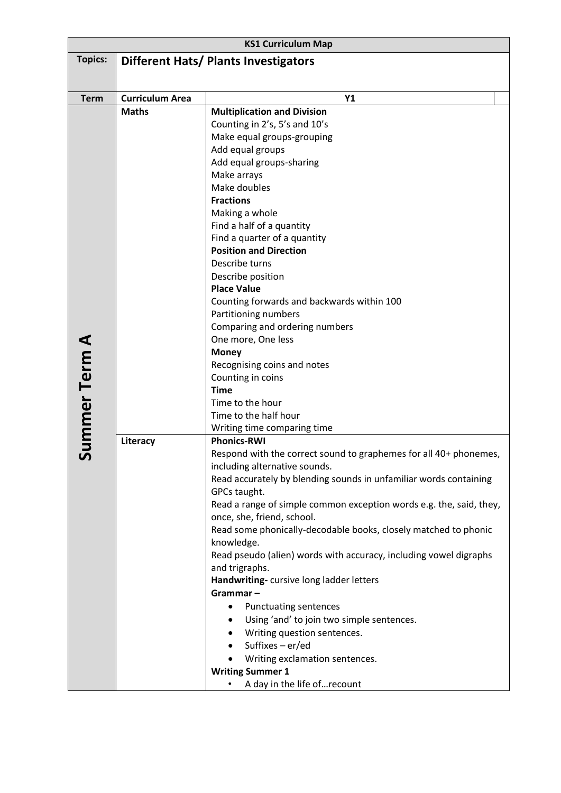| <b>KS1 Curriculum Map</b> |                                             |                                                                                                   |  |  |  |
|---------------------------|---------------------------------------------|---------------------------------------------------------------------------------------------------|--|--|--|
| <b>Topics:</b>            | <b>Different Hats/ Plants Investigators</b> |                                                                                                   |  |  |  |
|                           |                                             |                                                                                                   |  |  |  |
| <b>Term</b>               | <b>Curriculum Area</b>                      | Y <sub>1</sub>                                                                                    |  |  |  |
|                           | <b>Maths</b>                                | <b>Multiplication and Division</b>                                                                |  |  |  |
|                           |                                             | Counting in 2's, 5's and 10's                                                                     |  |  |  |
|                           |                                             | Make equal groups-grouping                                                                        |  |  |  |
|                           |                                             | Add equal groups                                                                                  |  |  |  |
|                           |                                             | Add equal groups-sharing                                                                          |  |  |  |
|                           |                                             | Make arrays                                                                                       |  |  |  |
|                           |                                             | Make doubles                                                                                      |  |  |  |
|                           |                                             | <b>Fractions</b>                                                                                  |  |  |  |
|                           |                                             | Making a whole                                                                                    |  |  |  |
|                           |                                             | Find a half of a quantity                                                                         |  |  |  |
|                           |                                             | Find a quarter of a quantity                                                                      |  |  |  |
|                           |                                             | <b>Position and Direction</b><br>Describe turns                                                   |  |  |  |
|                           |                                             | Describe position                                                                                 |  |  |  |
|                           |                                             | <b>Place Value</b>                                                                                |  |  |  |
|                           |                                             | Counting forwards and backwards within 100                                                        |  |  |  |
|                           |                                             | Partitioning numbers                                                                              |  |  |  |
|                           |                                             | Comparing and ordering numbers                                                                    |  |  |  |
|                           |                                             | One more, One less                                                                                |  |  |  |
|                           |                                             | <b>Money</b>                                                                                      |  |  |  |
|                           |                                             | Recognising coins and notes                                                                       |  |  |  |
| Summer Term A             |                                             | Counting in coins                                                                                 |  |  |  |
|                           |                                             | <b>Time</b>                                                                                       |  |  |  |
|                           |                                             | Time to the hour                                                                                  |  |  |  |
|                           |                                             | Time to the half hour<br>Writing time comparing time                                              |  |  |  |
|                           | Literacy                                    | <b>Phonics-RWI</b>                                                                                |  |  |  |
|                           |                                             | Respond with the correct sound to graphemes for all 40+ phonemes,                                 |  |  |  |
|                           |                                             | including alternative sounds.                                                                     |  |  |  |
|                           |                                             | Read accurately by blending sounds in unfamiliar words containing                                 |  |  |  |
|                           |                                             | GPCs taught.                                                                                      |  |  |  |
|                           |                                             | Read a range of simple common exception words e.g. the, said, they,<br>once, she, friend, school. |  |  |  |
|                           |                                             | Read some phonically-decodable books, closely matched to phonic                                   |  |  |  |
|                           |                                             | knowledge.                                                                                        |  |  |  |
|                           |                                             | Read pseudo (alien) words with accuracy, including vowel digraphs                                 |  |  |  |
|                           |                                             | and trigraphs.                                                                                    |  |  |  |
|                           |                                             | Handwriting-cursive long ladder letters                                                           |  |  |  |
|                           |                                             | Grammar-                                                                                          |  |  |  |
|                           |                                             | <b>Punctuating sentences</b><br>٠                                                                 |  |  |  |
|                           |                                             | Using 'and' to join two simple sentences.<br>$\bullet$                                            |  |  |  |
|                           |                                             | Writing question sentences.                                                                       |  |  |  |
|                           |                                             | Suffixes - er/ed                                                                                  |  |  |  |
|                           |                                             | Writing exclamation sentences.                                                                    |  |  |  |
|                           |                                             | <b>Writing Summer 1</b>                                                                           |  |  |  |
|                           |                                             | A day in the life ofrecount                                                                       |  |  |  |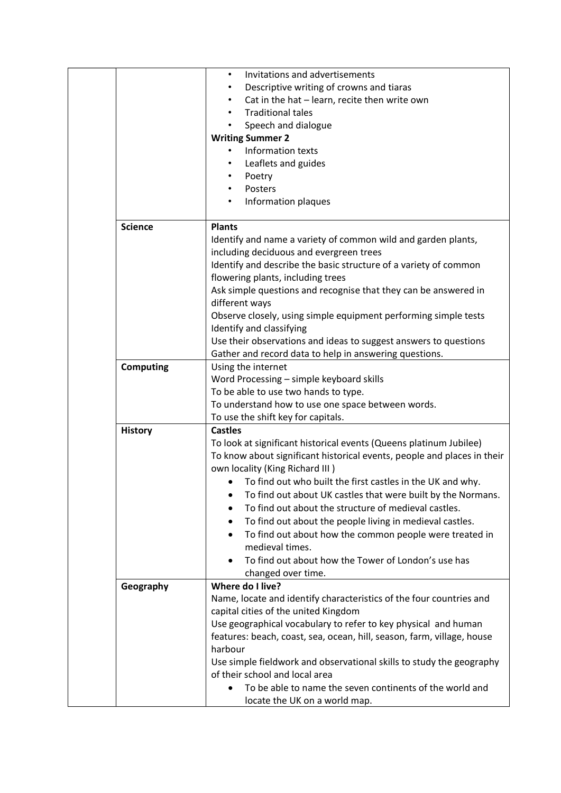|                  | Invitations and advertisements<br>$\bullet$                             |
|------------------|-------------------------------------------------------------------------|
|                  | Descriptive writing of crowns and tiaras<br>$\bullet$                   |
|                  | Cat in the hat - learn, recite then write own                           |
|                  | <b>Traditional tales</b><br>$\bullet$                                   |
|                  | Speech and dialogue<br>$\bullet$                                        |
|                  | <b>Writing Summer 2</b>                                                 |
|                  | Information texts                                                       |
|                  | Leaflets and guides                                                     |
|                  | Poetry<br>$\bullet$                                                     |
|                  | Posters<br>$\bullet$                                                    |
|                  | Information plaques                                                     |
|                  |                                                                         |
| <b>Science</b>   | <b>Plants</b>                                                           |
|                  | Identify and name a variety of common wild and garden plants,           |
|                  | including deciduous and evergreen trees                                 |
|                  | Identify and describe the basic structure of a variety of common        |
|                  | flowering plants, including trees                                       |
|                  | Ask simple questions and recognise that they can be answered in         |
|                  | different ways                                                          |
|                  | Observe closely, using simple equipment performing simple tests         |
|                  | Identify and classifying                                                |
|                  | Use their observations and ideas to suggest answers to questions        |
|                  | Gather and record data to help in answering questions.                  |
| <b>Computing</b> | Using the internet                                                      |
|                  | Word Processing - simple keyboard skills                                |
|                  | To be able to use two hands to type.                                    |
|                  | To understand how to use one space between words.                       |
|                  | To use the shift key for capitals.                                      |
| <b>History</b>   | <b>Castles</b>                                                          |
|                  | To look at significant historical events (Queens platinum Jubilee)      |
|                  | To know about significant historical events, people and places in their |
|                  | own locality (King Richard III)                                         |
|                  | To find out who built the first castles in the UK and why.<br>$\bullet$ |
|                  | To find out about UK castles that were built by the Normans.<br>٠       |
|                  | To find out about the structure of medieval castles.                    |
|                  |                                                                         |
|                  | To find out about the people living in medieval castles.                |
|                  | To find out about how the common people were treated in<br>$\bullet$    |
|                  | medieval times.                                                         |
|                  | To find out about how the Tower of London's use has                     |
|                  | changed over time.                                                      |
| Geography        | Where do I live?                                                        |
|                  | Name, locate and identify characteristics of the four countries and     |
|                  | capital cities of the united Kingdom                                    |
|                  | Use geographical vocabulary to refer to key physical and human          |
|                  | features: beach, coast, sea, ocean, hill, season, farm, village, house  |
|                  | harbour                                                                 |
|                  | Use simple fieldwork and observational skills to study the geography    |
|                  | of their school and local area                                          |
|                  | To be able to name the seven continents of the world and                |
|                  | locate the UK on a world map.                                           |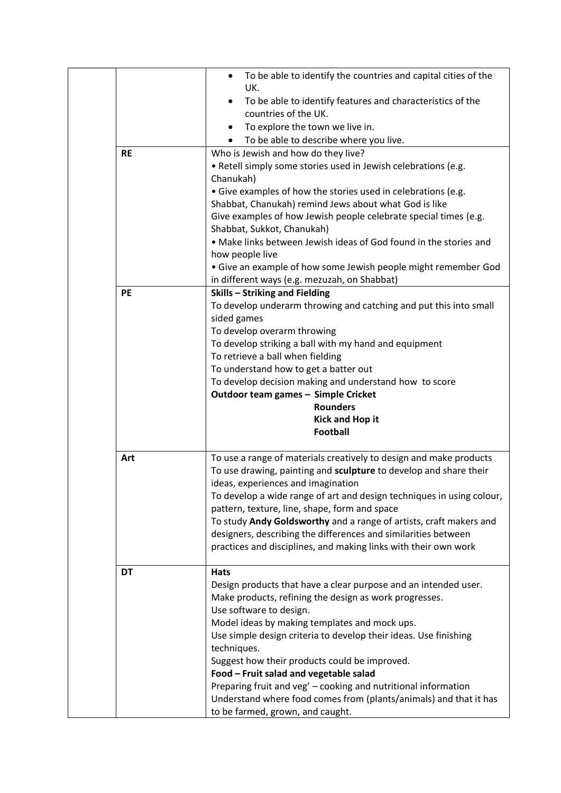| <b>RE</b> | To be able to identify the countries and capital cities of the<br>$\bullet$<br>UK.<br>To be able to identify features and characteristics of the<br>countries of the UK.<br>To explore the town we live in.<br>To be able to describe where you live.<br>Who is Jewish and how do they live?<br>. Retell simply some stories used in Jewish celebrations (e.g.<br>Chanukah)<br>• Give examples of how the stories used in celebrations (e.g.<br>Shabbat, Chanukah) remind Jews about what God is like<br>Give examples of how Jewish people celebrate special times (e.g.<br>Shabbat, Sukkot, Chanukah)<br>• Make links between Jewish ideas of God found in the stories and |
|-----------|------------------------------------------------------------------------------------------------------------------------------------------------------------------------------------------------------------------------------------------------------------------------------------------------------------------------------------------------------------------------------------------------------------------------------------------------------------------------------------------------------------------------------------------------------------------------------------------------------------------------------------------------------------------------------|
|           | how people live<br>• Give an example of how some Jewish people might remember God<br>in different ways (e.g. mezuzah, on Shabbat)                                                                                                                                                                                                                                                                                                                                                                                                                                                                                                                                            |
| PE        | <b>Skills - Striking and Fielding</b><br>To develop underarm throwing and catching and put this into small<br>sided games<br>To develop overarm throwing<br>To develop striking a ball with my hand and equipment<br>To retrieve a ball when fielding<br>To understand how to get a batter out<br>To develop decision making and understand how to score<br>Outdoor team games - Simple Cricket<br><b>Rounders</b><br><b>Kick and Hop it</b><br><b>Football</b>                                                                                                                                                                                                              |
| Art       | To use a range of materials creatively to design and make products<br>To use drawing, painting and sculpture to develop and share their<br>ideas, experiences and imagination<br>To develop a wide range of art and design techniques in using colour,<br>pattern, texture, line, shape, form and space<br>To study Andy Goldsworthy and a range of artists, craft makers and<br>designers, describing the differences and similarities between<br>practices and disciplines, and making links with their own work                                                                                                                                                           |
| <b>DT</b> | <b>Hats</b><br>Design products that have a clear purpose and an intended user.<br>Make products, refining the design as work progresses.<br>Use software to design.<br>Model ideas by making templates and mock ups.<br>Use simple design criteria to develop their ideas. Use finishing<br>techniques.<br>Suggest how their products could be improved.<br>Food - Fruit salad and vegetable salad<br>Preparing fruit and veg' - cooking and nutritional information<br>Understand where food comes from (plants/animals) and that it has<br>to be farmed, grown, and caught.                                                                                                |